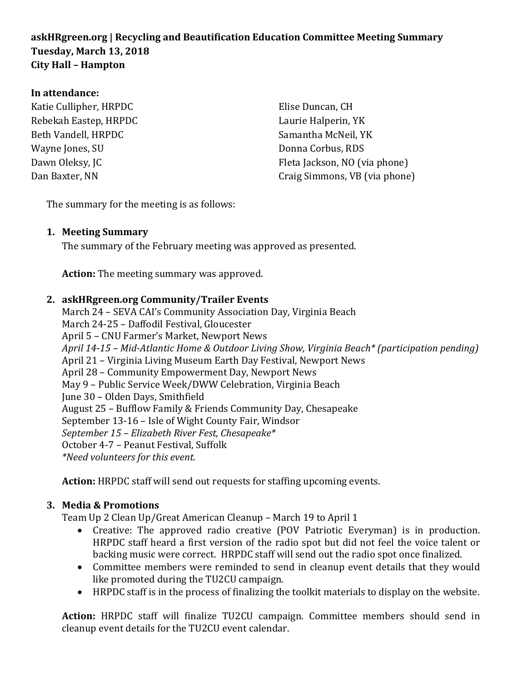## **askHRgreen.org | Recycling and Beautification Education Committee Meeting Summary Tuesday, March 13, 2018 City Hall – Hampton**

#### **In attendance:**

| Katie Cullipher, HRPDC | Elise Duncan, CH              |
|------------------------|-------------------------------|
| Rebekah Eastep, HRPDC  | Laurie Halperin, YK           |
| Beth Vandell, HRPDC    | Samantha McNeil, YK           |
| Wayne Jones, SU        | Donna Corbus, RDS             |
| Dawn Oleksy, JC        | Fleta Jackson, NO (via phone) |
| Dan Baxter, NN         | Craig Simmons, VB (via phone) |
|                        |                               |

The summary for the meeting is as follows:

### **1. Meeting Summary**

The summary of the February meeting was approved as presented.

**Action:** The meeting summary was approved.

#### **2. askHRgreen.org Community/Trailer Events**

March 24 – SEVA CAI's Community Association Day, Virginia Beach March 24-25 – Daffodil Festival, Gloucester April 5 – CNU Farmer's Market, Newport News *April 14-15 – Mid-Atlantic Home & Outdoor Living Show, Virginia Beach\* (participation pending)* April 21 – Virginia Living Museum Earth Day Festival, Newport News April 28 – Community Empowerment Day, Newport News May 9 – Public Service Week/DWW Celebration, Virginia Beach June 30 – Olden Days, Smithfield August 25 – Bufflow Family & Friends Community Day, Chesapeake September 13-16 – Isle of Wight County Fair, Windsor *September 15 – Elizabeth River Fest, Chesapeake\** October 4-7 – Peanut Festival, Suffolk *\*Need volunteers for this event.*

**Action:** HRPDC staff will send out requests for staffing upcoming events.

#### **3. Media & Promotions**

Team Up 2 Clean Up/Great American Cleanup – March 19 to April 1

- Creative: The approved radio creative (POV Patriotic Everyman) is in production. HRPDC staff heard a first version of the radio spot but did not feel the voice talent or backing music were correct. HRPDC staff will send out the radio spot once finalized.
- Committee members were reminded to send in cleanup event details that they would like promoted during the TU2CU campaign.
- HRPDC staff is in the process of finalizing the toolkit materials to display on the website.

**Action:** HRPDC staff will finalize TU2CU campaign. Committee members should send in cleanup event details for the TU2CU event calendar.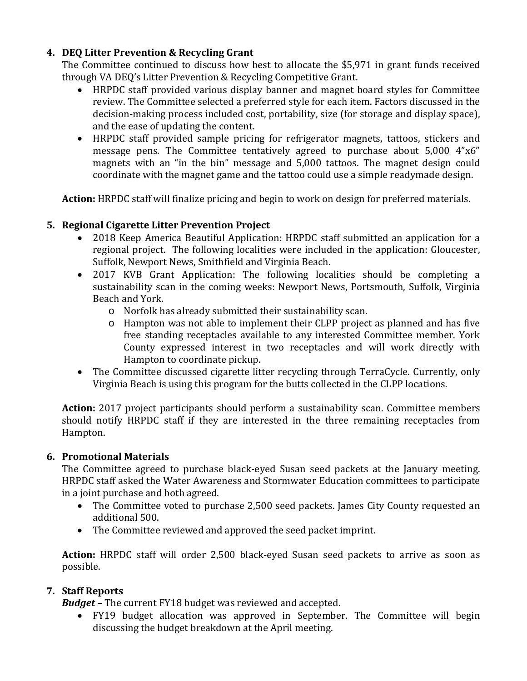## **4. DEQ Litter Prevention & Recycling Grant**

The Committee continued to discuss how best to allocate the \$5,971 in grant funds received through VA DEQ's Litter Prevention & Recycling Competitive Grant.

- HRPDC staff provided various display banner and magnet board styles for Committee review. The Committee selected a preferred style for each item. Factors discussed in the decision-making process included cost, portability, size (for storage and display space), and the ease of updating the content.
- HRPDC staff provided sample pricing for refrigerator magnets, tattoos, stickers and message pens. The Committee tentatively agreed to purchase about 5,000 4"x6" magnets with an "in the bin" message and 5,000 tattoos. The magnet design could coordinate with the magnet game and the tattoo could use a simple readymade design.

**Action:** HRPDC staff will finalize pricing and begin to work on design for preferred materials.

## **5. Regional Cigarette Litter Prevention Project**

- 2018 Keep America Beautiful Application: HRPDC staff submitted an application for a regional project. The following localities were included in the application: Gloucester, Suffolk, Newport News, Smithfield and Virginia Beach.
- 2017 KVB Grant Application: The following localities should be completing a sustainability scan in the coming weeks: Newport News, Portsmouth, Suffolk, Virginia Beach and York.
	- o Norfolk has already submitted their sustainability scan.
	- o Hampton was not able to implement their CLPP project as planned and has five free standing receptacles available to any interested Committee member. York County expressed interest in two receptacles and will work directly with Hampton to coordinate pickup.
- The Committee discussed cigarette litter recycling through TerraCycle. Currently, only Virginia Beach is using this program for the butts collected in the CLPP locations.

**Action:** 2017 project participants should perform a sustainability scan. Committee members should notify HRPDC staff if they are interested in the three remaining receptacles from Hampton.

### **6. Promotional Materials**

The Committee agreed to purchase black-eyed Susan seed packets at the January meeting. HRPDC staff asked the Water Awareness and Stormwater Education committees to participate in a joint purchase and both agreed.

- The Committee voted to purchase 2,500 seed packets. James City County requested an additional 500.
- The Committee reviewed and approved the seed packet imprint.

**Action:** HRPDC staff will order 2,500 black-eyed Susan seed packets to arrive as soon as possible.

# **7. Staff Reports**

*Budget –* The current FY18 budget was reviewed and accepted.

• FY19 budget allocation was approved in September. The Committee will begin discussing the budget breakdown at the April meeting.